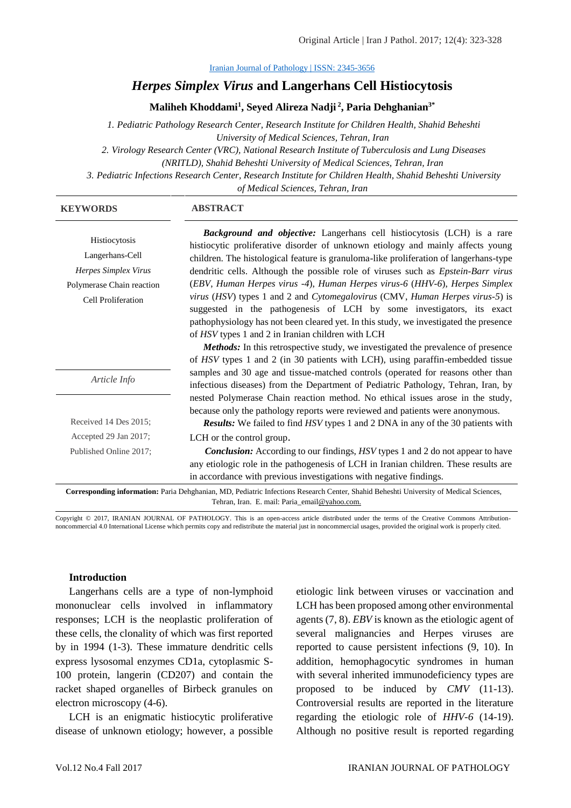[Iranian Journal of Pathology | ISSN: 2345-3656](http://ijp.iranpath.org/)

#### *Herpes Simplex Virus* **and Langerhans Cell Histiocytosis**

**Maliheh Khoddami<sup>1</sup> , Seyed Alireza Nadji <sup>2</sup> , Paria Dehghanian3\***

*1. Pediatric Pathology Research Center, Research Institute for Children Health, Shahid Beheshti University of Medical Sciences, Tehran, Iran*

*2. Virology Research Center (VRC), National Research Institute of Tuberculosis and Lung Diseases* 

*(NRITLD), Shahid Beheshti University of Medical Sciences, Tehran, Iran*

*3. Pediatric Infections Research Center, Research Institute for Children Health, Shahid Beheshti University* 

*of Medical Sciences, Tehran, Iran*

#### **KEYWORDS ABSTRACT**

Histiocytosis Langerhans-Cell *Herpes Simplex Virus* Polymerase Chain reaction Cell Proliferation

*Background and objective:* Langerhans cell histiocytosis (LCH) is a rare histiocytic proliferative disorder of unknown etiology and mainly affects young children. The histological feature is granuloma-like proliferation of langerhans-type dendritic cells. Although the possible role of viruses such as *Epstein-Barr virus*  (*EBV*, *Human Herpes virus -4*), *Human Herpes virus-6* (*HHV-6*), *Herpes Simplex virus* (*HSV*) types 1 and 2 and *Cytomegalovirus* (CMV, *Human Herpes virus-5*) is suggested in the pathogenesis of LCH by some investigators, its exact pathophysiology has not been cleared yet. In this study, we investigated the presence of *HSV* types 1 and 2 in Iranian children with LCH

*Article Info*

| Received 14 Des 2015;  |  |
|------------------------|--|
| Accepted 29 Jan 2017;  |  |
| Published Online 2017; |  |

*Methods:* In this retrospective study, we investigated the prevalence of presence of *HSV* types 1 and 2 (in 30 patients with LCH), using paraffin-embedded tissue samples and 30 age and tissue-matched controls (operated for reasons other than infectious diseases) from the Department of Pediatric Pathology, Tehran, Iran, by nested Polymerase Chain reaction method. No ethical issues arose in the study, because only the pathology reports were reviewed and patients were anonymous.

*Results:* We failed to find *HSV* types 1 and 2 DNA in any of the 30 patients with LCH or the control group.

*Conclusion:* According to our findings, *HSV* types 1 and 2 do not appear to have any etiologic role in the pathogenesis of LCH in Iranian children. These results are in accordance with previous investigations with negative findings.

**Corresponding information:** Paria Dehghanian, MD, Pediatric Infections Research Center, Shahid Beheshti University of Medical Sciences, Tehran, Iran. E. mail: Paria\_emai[l@yahoo.com.](mailto:malihehkhoddami@yahoo.com)

Copyright © 2017, IRANIAN JOURNAL OF PATHOLOGY. This is an open-access article distributed under the terms of the Creative Commons Attributionnoncommercial 4.0 International License which permits copy and redistribute the material just in noncommercial usages, provided the original work is properly cited.

#### **Introduction**

Langerhans cells are a type of non-lymphoid mononuclear cells involved in inflammatory responses; LCH is the neoplastic proliferation of these cells, the clonality of which was first reported by in 1994 (1-3). These immature dendritic cells express lysosomal enzymes CD1a, cytoplasmic S-100 protein, langerin (CD207) and contain the racket shaped organelles of Birbeck granules on electron microscopy (4-6).

LCH is an enigmatic histiocytic proliferative disease of unknown etiology; however, a possible etiologic link between viruses or vaccination and LCH has been proposed among other environmental agents (7, 8). *EBV* is known as the etiologic agent of several malignancies and Herpes viruses are reported to cause persistent infections (9, 10). In addition, hemophagocytic syndromes in human with several inherited immunodeficiency types are proposed to be induced by *CMV* (11-13). Controversial results are reported in the literature regarding the etiologic role of *HHV-6* (14-19). Although no positive result is reported regarding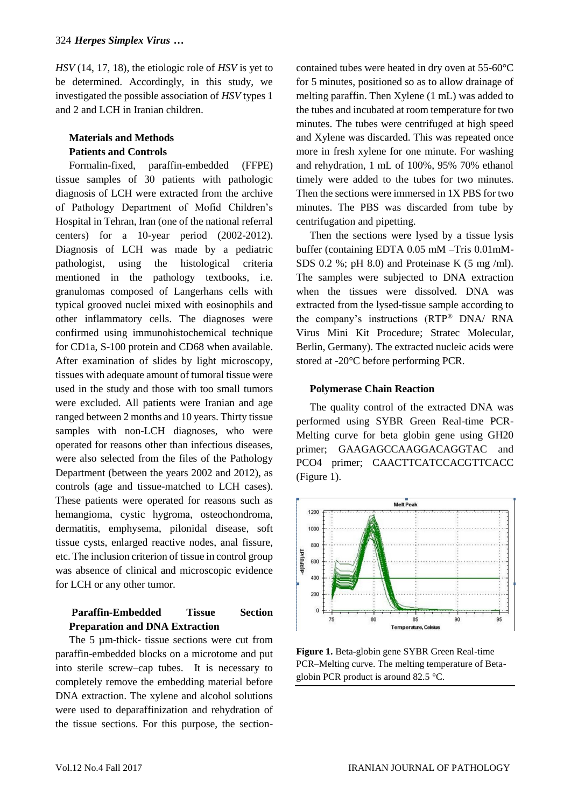*HSV* (14, 17, 18), the etiologic role of *HSV* is yet to be determined. Accordingly, in this study, we investigated the possible association of *HSV* types 1 and 2 and LCH in Iranian children.

# **Materials and Methods Patients and Controls**

Formalin-fixed, paraffin-embedded (FFPE) tissue samples of 30 patients with pathologic diagnosis of LCH were extracted from the archive of Pathology Department of Mofid Children's Hospital in Tehran, Iran (one of the national referral centers) for a 10-year period (2002-2012). Diagnosis of LCH was made by a pediatric pathologist, using the histological criteria mentioned in the pathology textbooks, i.e. granulomas composed of Langerhans cells with typical grooved nuclei mixed with eosinophils and other inflammatory cells. The diagnoses were confirmed using immunohistochemical technique for CD1a, S-100 protein and CD68 when available. After examination of slides by light microscopy, tissues with adequate amount of tumoral tissue were used in the study and those with too small tumors were excluded. All patients were Iranian and age ranged between 2 months and 10 years. Thirty tissue samples with non-LCH diagnoses, who were operated for reasons other than infectious diseases, were also selected from the files of the Pathology Department (between the years 2002 and 2012), as controls (age and tissue-matched to LCH cases). These patients were operated for reasons such as hemangioma, cystic hygroma, osteochondroma, dermatitis, emphysema, pilonidal disease, soft tissue cysts, enlarged reactive nodes, anal fissure, etc. The inclusion criterion of tissue in control group was absence of clinical and microscopic evidence for LCH or any other tumor.

# **Paraffin-Embedded Tissue Section Preparation and DNA Extraction**

The 5  $\mu$ m-thick- tissue sections were cut from paraffin-embedded blocks on a microtome and put into sterile screw–cap tubes. It is necessary to completely remove the embedding material before DNA extraction. The xylene and alcohol solutions were used to deparaffinization and rehydration of the tissue sections. For this purpose, the sectioncontained tubes were heated in dry oven at 55-60°C for 5 minutes, positioned so as to allow drainage of melting paraffin. Then Xylene (1 mL) was added to the tubes and incubated at room temperature for two minutes. The tubes were centrifuged at high speed and Xylene was discarded. This was repeated once more in fresh xylene for one minute. For washing and rehydration, 1 mL of 100%, 95% 70% ethanol timely were added to the tubes for two minutes. Then the sections were immersed in 1X PBS for two minutes. The PBS was discarded from tube by centrifugation and pipetting.

Then the sections were lysed by a tissue lysis buffer (containing EDTA 0.05 mM –Tris 0.01mM-SDS 0.2 %; pH 8.0) and Proteinase K  $(5 \text{ mg/ml})$ . The samples were subjected to DNA extraction when the tissues were dissolved. DNA was extracted from the lysed-tissue sample according to the company's instructions (RTP® DNA/ RNA Virus Mini Kit Procedure; Stratec Molecular, Berlin, Germany). The extracted nucleic acids were stored at -20°C before performing PCR.

#### **Polymerase Chain Reaction**

The quality control of the extracted DNA was performed using SYBR Green Real-time PCR-Melting curve for beta globin gene using GH20 primer; GAAGAGCCAAGGACAGGTAC and PCO4 primer; CAACTTCATCCACGTTCACC (Figure 1).



**Figure 1.** Beta-globin gene SYBR Green Real-time PCR–Melting curve. The melting temperature of Betaglobin PCR product is around 82.5 °C.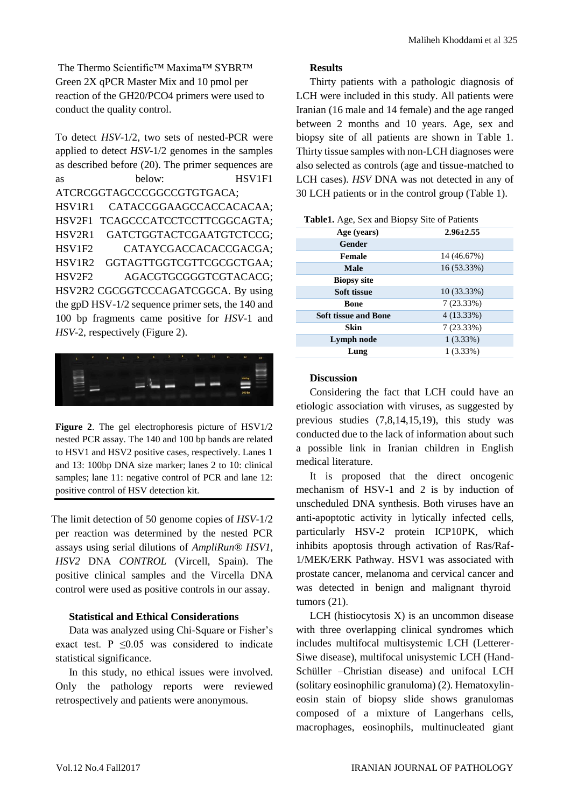The Thermo Scientific™ Maxima™ SYBR™ Green 2X qPCR Master Mix and 10 pmol per reaction of the GH20/PCO4 primers were used to conduct the quality control.

To detect *HSV*-1/2, two sets of nested-PCR were applied to detect *HSV*-1/2 genomes in the samples as described before (20). The primer sequences are as below: HSV1F1 ATCRCGGTAGCCCGGCCGTGTGACA; HSV1R1 CATACCGGAAGCCACCACACAA; HSV2F1 TCAGCCCATCCTCCTTCGGCAGTA; HSV2R1 GATCTGGTACTCGAATGTCTCCG; HSV1F2 CATAYCGACCACACCGACGA; HSV1R2 GGTAGTTGGTCGTTCGCGCTGAA; HSV2F2 AGACGTGCGGGTCGTACACG; HSV2R2 CGCGGTCCCAGATCGGCA. By using the gpD HSV-1/2 sequence primer sets, the 140 and 100 bp fragments came positive for *HSV*-1 and *HSV*-2, respectively (Figure 2).



**Figure 2**. The gel electrophoresis picture of HSV1/2 nested PCR assay. The 140 and 100 bp bands are related to HSV1 and HSV2 positive cases, respectively. Lanes 1 and 13: 100bp DNA size marker; lanes 2 to 10: clinical samples; lane 11: negative control of PCR and lane 12: positive control of HSV detection kit.

The limit detection of 50 genome copies of *HSV*-1/2 per reaction was determined by the nested PCR assays using serial dilutions of *AmpliRun® HSV1, HSV2* DNA *CONTROL* (Vircell, Spain). The positive clinical samples and the Vircella DNA control were used as positive controls in our assay.

#### **Statistical and Ethical Considerations**

Data was analyzed using Chi-Square or Fisher's exact test. P  $\leq 0.05$  was considered to indicate statistical significance.

In this study, no ethical issues were involved. Only the pathology reports were reviewed retrospectively and patients were anonymous.

#### **Results**

Thirty patients with a pathologic diagnosis of LCH were included in this study. All patients were Iranian (16 male and 14 female) and the age ranged between 2 months and 10 years. Age, sex and biopsy site of all patients are shown in Table 1. Thirty tissue samples with non-LCH diagnoses were also selected as controls (age and tissue-matched to LCH cases). *HSV* DNA was not detected in any of 30 LCH patients or in the control group (Table 1).

| Age (years)                 | $2.96 \pm 2.55$ |
|-----------------------------|-----------------|
| Gender                      |                 |
| Female                      | 14 (46.67%)     |
| <b>Male</b>                 | 16 (53.33%)     |
| <b>Biopsy site</b>          |                 |
| <b>Soft tissue</b>          | 10 (33.33%)     |
| <b>Bone</b>                 | $7(23.33\%)$    |
| <b>Soft tissue and Bone</b> | 4 (13.33%)      |
| Skin                        | $7(23.33\%)$    |
| Lymph node                  | $1(3.33\%)$     |
| Lung                        | $1(3.33\%)$     |

## **Table1.** Age, Sex and Biopsy Site of Patients

#### **Discussion**

Considering the fact that LCH could have an etiologic association with viruses, as suggested by previous studies (7,8,14,15,19), this study was conducted due to the lack of information about such a possible link in Iranian children in English medical literature.

It is proposed that the direct oncogenic mechanism of HSV-1 and 2 is by induction of unscheduled DNA synthesis. Both viruses have an anti-apoptotic activity in lytically infected cells, particularly HSV-2 protein ICP10PK, which inhibits apoptosis through activation of Ras/Raf-1/MEK/ERK Pathway. HSV1 was associated with prostate cancer, melanoma and cervical cancer and was detected in benign and malignant thyroid tumors (21).

LCH (histiocytosis X) is an uncommon disease with three overlapping clinical syndromes which includes multifocal multisystemic LCH (Letterer-Siwe disease), multifocal unisystemic LCH (Hand-Schüller –Christian disease) and unifocal LCH (solitary eosinophilic granuloma) (2). Hematoxylineosin stain of biopsy slide shows granulomas composed of a mixture of Langerhans cells, macrophages, eosinophils, multinucleated giant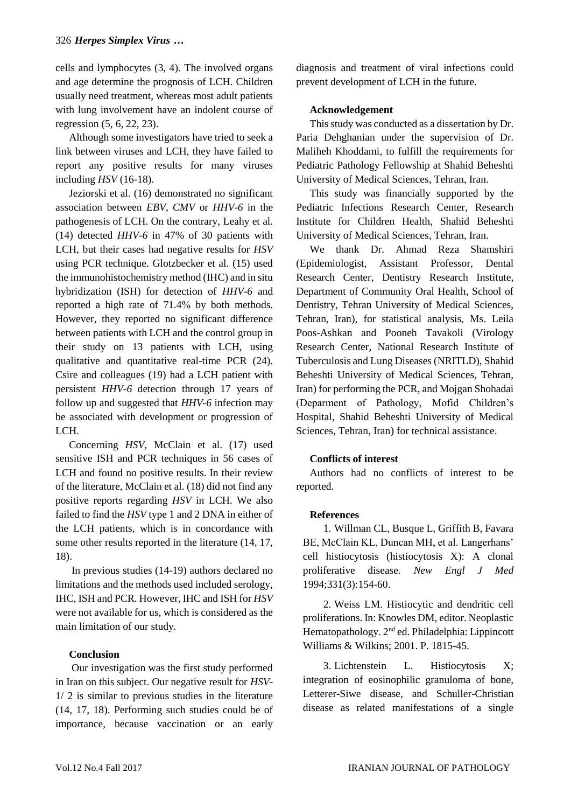cells and lymphocytes (3, 4). The involved organs and age determine the prognosis of LCH. Children usually need treatment, whereas most adult patients with lung involvement have an indolent course of regression (5, 6, 22, 23).

Although some investigators have tried to seek a link between viruses and LCH, they have failed to report any positive results for many viruses including *HSV* (16-18).

Jeziorski et al. (16) demonstrated no significant association between *EBV*, *CMV* or *HHV-6* in the pathogenesis of LCH. On the contrary, Leahy et al. (14) detected *HHV-6* in 47% of 30 patients with LCH, but their cases had negative results for *HSV* using PCR technique. Glotzbecker et al. (15) used the immunohistochemistry method (IHC) and in situ hybridization (ISH) for detection of *HHV-6* and reported a high rate of 71.4% by both methods. However, they reported no significant difference between patients with LCH and the control group in their study on 13 patients with LCH, using qualitative and quantitative real-time PCR (24). Csire and colleagues (19) had a LCH patient with persistent *HHV-6* detection through 17 years of follow up and suggested that *HHV-6* infection may be associated with development or progression of LCH.

Concerning *HSV*, McClain et al. (17) used sensitive ISH and PCR techniques in 56 cases of LCH and found no positive results. In their review of the literature, McClain et al. (18) did not find any positive reports regarding *HSV* in LCH. We also failed to find the *HSV* type 1 and 2 DNA in either of the LCH patients, which is in concordance with some other results reported in the literature (14, 17, 18).

In previous studies (14-19) authors declared no limitations and the methods used included serology, IHC, ISH and PCR. However, IHC and ISH for *HSV* were not available for us, which is considered as the main limitation of our study.

#### **Conclusion**

Our investigation was the first study performed in Iran on this subject. Our negative result for *HSV-*1/ 2 is similar to previous studies in the literature (14, 17, 18). Performing such studies could be of importance, because vaccination or an early

diagnosis and treatment of viral infections could prevent development of LCH in the future.

#### **Acknowledgement**

This study was conducted as a dissertation by Dr. Paria Dehghanian under the supervision of Dr. Maliheh Khoddami, to fulfill the requirements for Pediatric Pathology Fellowship at Shahid Beheshti University of Medical Sciences, Tehran, Iran.

This study was financially supported by the Pediatric Infections Research Center, Research Institute for Children Health, Shahid Beheshti University of Medical Sciences, Tehran, Iran.

We thank Dr. Ahmad Reza Shamshiri (Epidemiologist, Assistant Professor, Dental Research Center, Dentistry Research Institute, Department of Community Oral Health, School of Dentistry, Tehran University of Medical Sciences, Tehran, Iran), for statistical analysis, Ms. Leila Poos-Ashkan and Pooneh Tavakoli (Virology Research Center, National Research Institute of Tuberculosis and Lung Diseases (NRITLD), Shahid Beheshti University of Medical Sciences, Tehran, Iran) for performing the PCR, and Mojgan Shohadai (Deparment of Pathology, Mofid Children's Hospital, Shahid Beheshti University of Medical Sciences, Tehran, Iran) for technical assistance.

#### **Conflicts of interest**

Authors had no conflicts of interest to be reported.

#### **References**

1. Willman CL, Busque L, Griffith B, Favara BE, McClain KL, Duncan MH, et al. Langerhans' cell histiocytosis (histiocytosis X): A clonal proliferative disease. *New Engl J Med* 1994;331(3):154-60.

2. Weiss LM. Histiocytic and dendritic cell proliferations. In: Knowles DM, editor. Neoplastic Hematopathology. 2nd ed. Philadelphia: Lippincott Williams & Wilkins; 2001. P. 1815-45.

3. Lichtenstein L. Histiocytosis X; integration of eosinophilic granuloma of bone, Letterer-Siwe disease, and Schuller-Christian disease as related manifestations of a single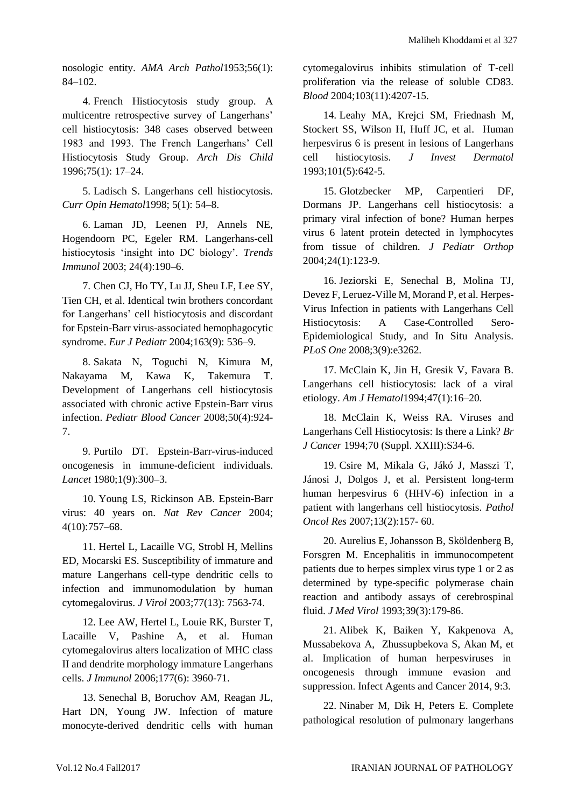nosologic entity. *AMA Arch Pathol*1953;56(1): 84–102.

4. French Histiocytosis study group. A multicentre retrospective survey of Langerhans' cell histiocytosis: 348 cases observed between 1983 and 1993. The French Langerhans' Cell Histiocytosis Study Group. *Arch Dis Child* 1996;75(1): 17–24.

5. Ladisch S. Langerhans cell histiocytosis. *Curr Opin Hematol*1998; 5(1): 54–8.

6. Laman JD, Leenen PJ, Annels NE, Hogendoorn PC, Egeler RM. Langerhans-cell histiocytosis 'insight into DC biology'. *Trends Immunol* 2003; 24(4):190–6.

7. Chen CJ, Ho TY, Lu JJ, Sheu LF, Lee SY, Tien CH, et al. Identical twin brothers concordant for Langerhans' cell histiocytosis and discordant for Epstein-Barr virus-associated hemophagocytic syndrome. *Eur J Pediatr* 2004;163(9): 536–9.

8. Sakata N, Toguchi N, Kimura M, Nakayama M, Kawa K, Takemura T. Development of Langerhans cell histiocytosis associated with chronic active Epstein-Barr virus infection. *Pediatr Blood Cancer* 2008;50(4):924- 7.

9. Purtilo DT. Epstein-Barr-virus-induced oncogenesis in immune-deficient individuals. *Lancet* 1980;1(9):300–3.

10. Young LS, Rickinson AB. Epstein-Barr virus: 40 years on. *Nat Rev Cancer* 2004; 4(10):757–68.

11. Hertel L, Lacaille VG, Strobl H, Mellins ED, Mocarski ES. Susceptibility of immature and mature Langerhans cell-type dendritic cells to infection and immunomodulation by human cytomegalovirus. *J Virol* 2003;77(13): 7563-74.

12. Lee AW, Hertel L, Louie RK, Burster T, Lacaille V, Pashine A, et al. Human cytomegalovirus alters localization of MHC class II and dendrite morphology immature Langerhans cells. *J Immunol* 2006;177(6): 3960-71.

13. Senechal B, Boruchov AM, Reagan JL, Hart DN, Young JW. Infection of mature monocyte-derived dendritic cells with human cytomegalovirus inhibits stimulation of T-cell proliferation via the release of soluble CD83. *Blood* 2004;103(11):4207-15.

14. [Leahy MA,](http://www.ncbi.nlm.nih.gov/pubmed/?term=Leahy%20MA%5BAuthor%5D&cauthor=true&cauthor_uid=8228322) [Krejci SM,](http://www.ncbi.nlm.nih.gov/pubmed/?term=Krejci%20SM%5BAuthor%5D&cauthor=true&cauthor_uid=8228322) [Friednash M,](http://www.ncbi.nlm.nih.gov/pubmed/?term=Friednash%20M%5BAuthor%5D&cauthor=true&cauthor_uid=8228322) Stockert SS, Wilson H, Huff JC, et al. Human herpesvirus 6 is present in lesions of Langerhans cell histiocytosis. *[J Invest Dermatol](http://www.ncbi.nlm.nih.gov/pubmed/8228322)* 1993;101(5):642-5.

15. [Glotzbecker MP,](http://www.ncbi.nlm.nih.gov/pubmed/?term=Glotzbecker%20MP%5BAuthor%5D&cauthor=true&cauthor_uid=14676546) [Carpentieri DF,](http://www.ncbi.nlm.nih.gov/pubmed/?term=Carpentieri%20DF%5BAuthor%5D&cauthor=true&cauthor_uid=14676546) [Dormans JP.](http://www.ncbi.nlm.nih.gov/pubmed/?term=Dormans%20JP%5BAuthor%5D&cauthor=true&cauthor_uid=14676546) Langerhans cell histiocytosis: a primary viral infection of bone? Human herpes virus 6 latent protein detected in lymphocytes from tissue of children. *[J Pediatr Orthop](http://www.ncbi.nlm.nih.gov/pubmed/14676546)* 2004;24(1):123-9.

16. [Jeziorski E,](http://www.ncbi.nlm.nih.gov/pubmed?term=Jeziorski%20E%5BAuthor%5D&cauthor=true&cauthor_uid=18810271) [Senechal B,](http://www.ncbi.nlm.nih.gov/pubmed?term=Senechal%20B%5BAuthor%5D&cauthor=true&cauthor_uid=18810271) [Molina TJ,](http://www.ncbi.nlm.nih.gov/pubmed?term=Molina%20TJ%5BAuthor%5D&cauthor=true&cauthor_uid=18810271) [Devez F,](http://www.ncbi.nlm.nih.gov/pubmed?term=Devez%20F%5BAuthor%5D&cauthor=true&cauthor_uid=18810271) [Leruez-Ville M,](http://www.ncbi.nlm.nih.gov/pubmed?term=Leruez-Ville%20M%5BAuthor%5D&cauthor=true&cauthor_uid=18810271) [Morand P,](http://www.ncbi.nlm.nih.gov/pubmed?term=Morand%20P%5BAuthor%5D&cauthor=true&cauthor_uid=18810271) et al. Herpes-Virus Infection in patients with Langerhans Cell Histiocytosis: A Case-Controlled Sero-Epidemiological Study, and In Situ Analysis. *[PLoS One](http://www.ncbi.nlm.nih.gov/pubmed/18810271)* 2008;3(9):e3262.

17. McClain K, Jin H, Gresik V, Favara B. Langerhans cell histiocytosis: lack of a viral etiology. *Am J Hematol*1994;47(1):16–20.

18. McClain K, Weiss RA. Viruses and Langerhans Cell Histiocytosis: Is there a Link? *Br J Cancer* 1994;70 (Suppl. XXIII):S34-6.

19. [Csire M,](http://www.ncbi.nlm.nih.gov/pubmed/?term=Csire%20M%5BAuthor%5D&cauthor=true&cauthor_uid=17607379) [Mikala G,](http://www.ncbi.nlm.nih.gov/pubmed/?term=Mikala%20G%5BAuthor%5D&cauthor=true&cauthor_uid=17607379) [Jákó J,](http://www.ncbi.nlm.nih.gov/pubmed/?term=J%C3%A1k%C3%B3%20J%5BAuthor%5D&cauthor=true&cauthor_uid=17607379) Masszi T, Jánosi J, Dolgos J, et al. Persistent long-term human herpesvirus 6 (HHV-6) infection in a patient with langerhans cell histiocytosis. *Pathol Oncol Res* 2007;13(2):157- 60.

20. Aurelius E, Johansson B, Sköldenberg B, Forsgren M. Encephalitis in immunocompetent patients due to herpes simplex virus type 1 or 2 as determined by type-specific polymerase chain reaction and antibody assays of cerebrospinal fluid. *J Med Virol* 1993;39(3):179-86.

21. Alibek K, Baiken Y, Kakpenova A, Mussabekova A, Zhussupbekova S, Akan M, et al. Implication of human herpesviruses in oncogenesis through immune evasion and suppression. Infect Agents and Cancer 2014, 9:3.

22. Ninaber M, Dik H, Peters E. Complete pathological resolution of pulmonary langerhans